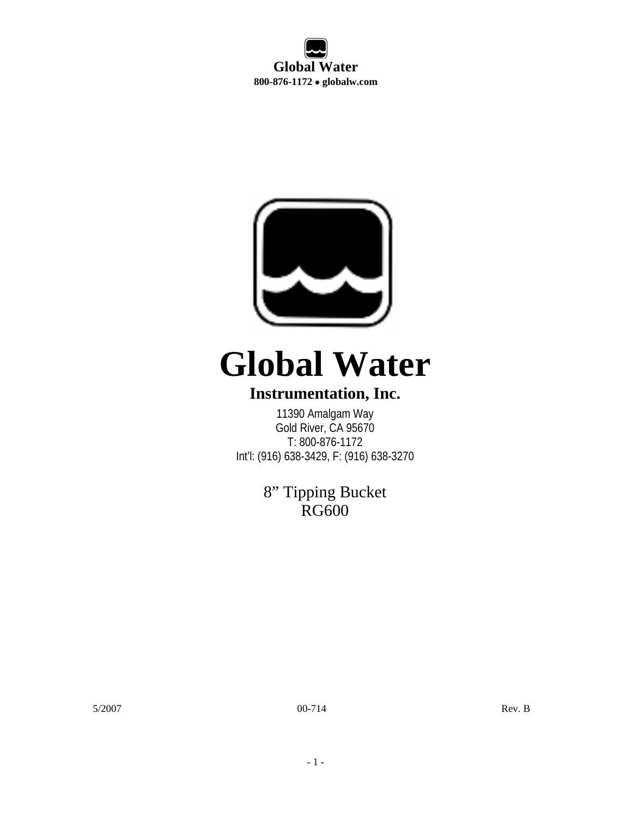**Global Water 800-876-1172** • **globalw.com** 



# **Global Water**

#### **Instrumentation, Inc.**

11390 Amalgam Way Gold River, CA 95670 T: 800-876-1172 Int'l: (916) 638-3429, F: (916) 638-3270

> 8" Tipping Bucket RG<sub>600</sub>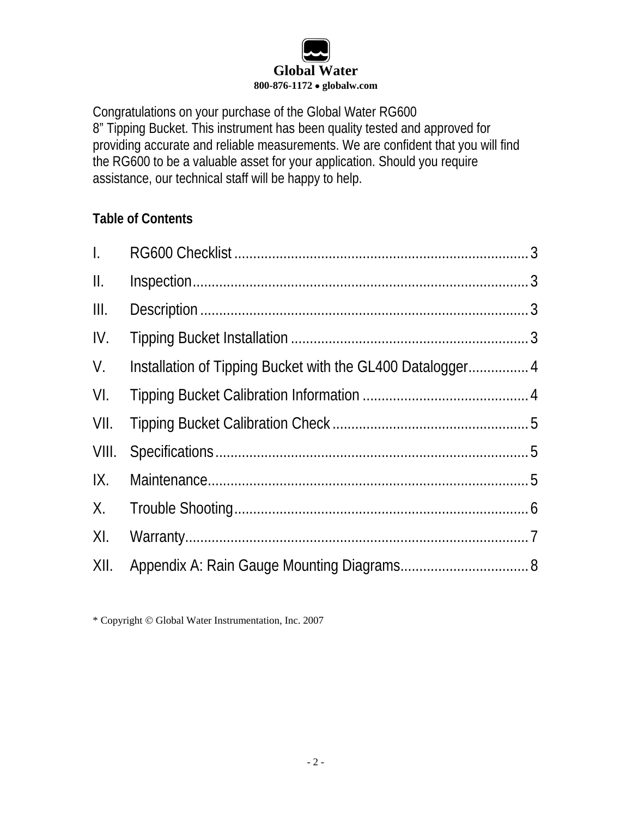# **Global Water 800-876-1172** • **globalw.com**

Congratulations on your purchase of the Global Water RG600 8" Tipping Bucket. This instrument has been quality tested and approved for providing accurate and reliable measurements. We are confident that you will find the RG600 to be a valuable asset for your application. Should you require assistance, our technical staff will be happy to help.

#### **Table of Contents**

| $\mathbf{L}$  |  |
|---------------|--|
| $\parallel$ . |  |
| III.          |  |
| IV.           |  |
| V.            |  |
| VI.           |  |
| VII.          |  |
| VIII.         |  |
| IX.           |  |
|               |  |
| XI.           |  |
| XII.          |  |

<sup>\*</sup> Copyright © Global Water Instrumentation, Inc. 2007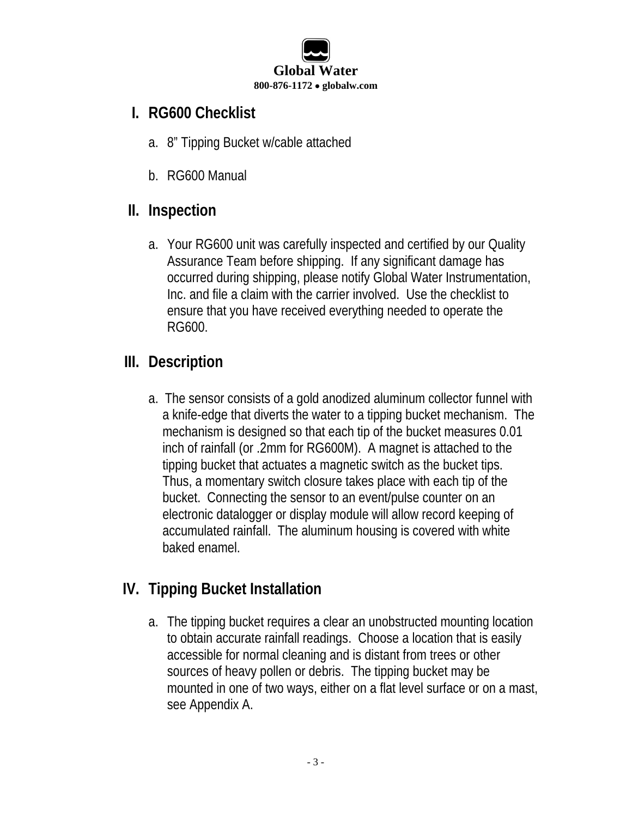

#### <span id="page-2-0"></span>**I. RG600 Checklist**

- a. 8" Tipping Bucket w/cable attached
- b. RG600 Manual

#### **II. Inspection**

a. Your RG600 unit was carefully inspected and certified by our Quality Assurance Team before shipping. If any significant damage has occurred during shipping, please notify Global Water Instrumentation, Inc. and file a claim with the carrier involved. Use the checklist to ensure that you have received everything needed to operate the RG600.

# **III. Description**

a. The sensor consists of a gold anodized aluminum collector funnel with a knife-edge that diverts the water to a tipping bucket mechanism. The mechanism is designed so that each tip of the bucket measures 0.01 inch of rainfall (or .2mm for RG600M). A magnet is attached to the tipping bucket that actuates a magnetic switch as the bucket tips. Thus, a momentary switch closure takes place with each tip of the bucket. Connecting the sensor to an event/pulse counter on an electronic datalogger or display module will allow record keeping of accumulated rainfall. The aluminum housing is covered with white baked enamel.

## **IV. Tipping Bucket Installation**

a. The tipping bucket requires a clear an unobstructed mounting location to obtain accurate rainfall readings. Choose a location that is easily accessible for normal cleaning and is distant from trees or other sources of heavy pollen or debris. The tipping bucket may be mounted in one of two ways, either on a flat level surface or on a mast, see Appendix A.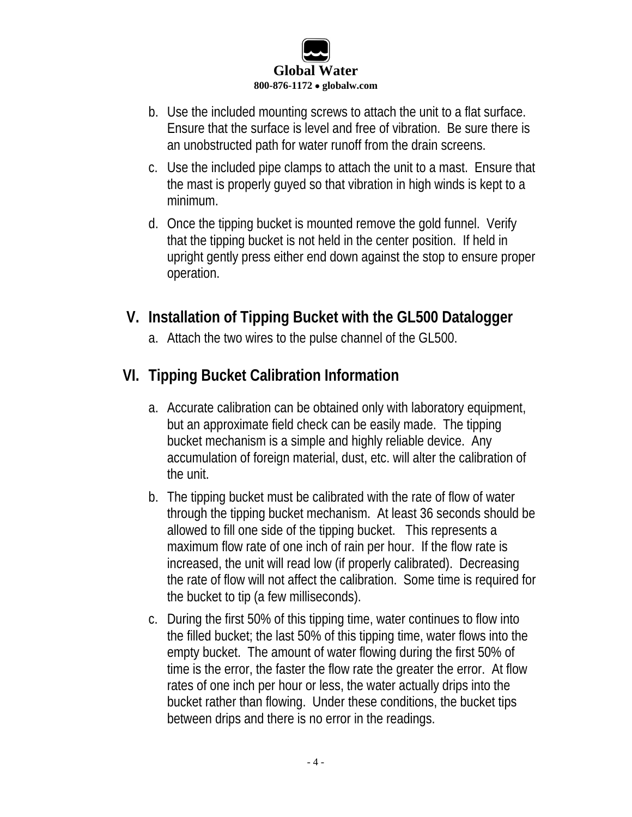

- <span id="page-3-0"></span>b. Use the included mounting screws to attach the unit to a flat surface. Ensure that the surface is level and free of vibration. Be sure there is an unobstructed path for water runoff from the drain screens.
- c. Use the included pipe clamps to attach the unit to a mast. Ensure that the mast is properly guyed so that vibration in high winds is kept to a minimum.
- d. Once the tipping bucket is mounted remove the gold funnel. Verify that the tipping bucket is not held in the center position. If held in upright gently press either end down against the stop to ensure proper operation.

#### **V. Installation of Tipping Bucket with the GL500 Datalogger**

a. Attach the two wires to the pulse channel of the GL500.

## **VI. Tipping Bucket Calibration Information**

- a. Accurate calibration can be obtained only with laboratory equipment, but an approximate field check can be easily made. The tipping bucket mechanism is a simple and highly reliable device. Any accumulation of foreign material, dust, etc. will alter the calibration of the unit.
- b. The tipping bucket must be calibrated with the rate of flow of water through the tipping bucket mechanism. At least 36 seconds should be allowed to fill one side of the tipping bucket. This represents a maximum flow rate of one inch of rain per hour. If the flow rate is increased, the unit will read low (if properly calibrated). Decreasing the rate of flow will not affect the calibration. Some time is required for the bucket to tip (a few milliseconds).
- c. During the first 50% of this tipping time, water continues to flow into the filled bucket; the last 50% of this tipping time, water flows into the empty bucket. The amount of water flowing during the first 50% of time is the error, the faster the flow rate the greater the error. At flow rates of one inch per hour or less, the water actually drips into the bucket rather than flowing. Under these conditions, the bucket tips between drips and there is no error in the readings.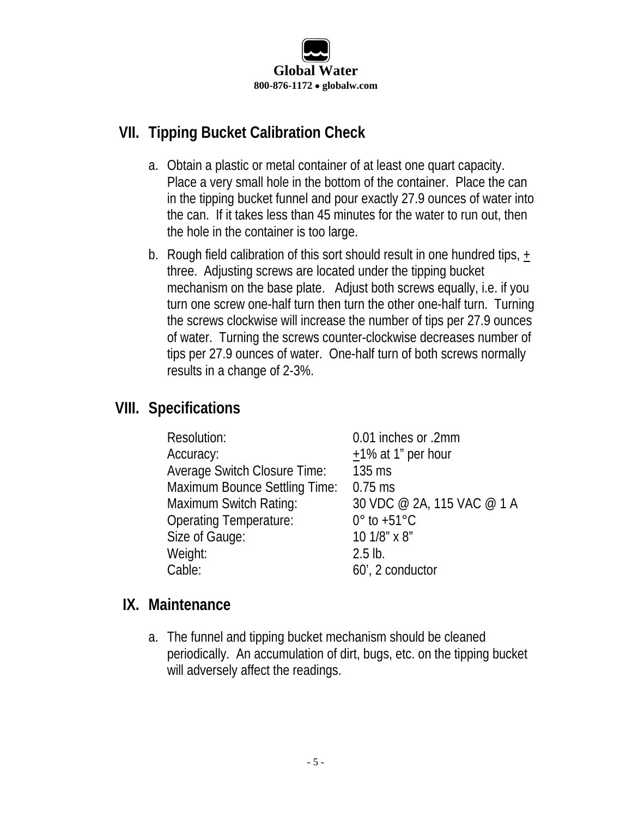

## <span id="page-4-0"></span>**VII. Tipping Bucket Calibration Check**

- a. Obtain a plastic or metal container of at least one quart capacity. Place a very small hole in the bottom of the container. Place the can in the tipping bucket funnel and pour exactly 27.9 ounces of water into the can. If it takes less than 45 minutes for the water to run out, then the hole in the container is too large.
- b. Rough field calibration of this sort should result in one hundred tips, + three. Adjusting screws are located under the tipping bucket mechanism on the base plate. Adjust both screws equally, i.e. if you turn one screw one-half turn then turn the other one-half turn. Turning the screws clockwise will increase the number of tips per 27.9 ounces of water. Turning the screws counter-clockwise decreases number of tips per 27.9 ounces of water. One-half turn of both screws normally results in a change of 2-3%.

## **VIII. Specifications**

| Resolution:                          | 0.01 inches or .2mm         |
|--------------------------------------|-----------------------------|
| Accuracy:                            | $+1\%$ at 1" per hour       |
| Average Switch Closure Time:         | $135$ ms                    |
| <b>Maximum Bounce Settling Time:</b> | $0.75$ ms                   |
| Maximum Switch Rating:               | 30 VDC @ 2A, 115 VAC @ 1 A  |
| <b>Operating Temperature:</b>        | $0^\circ$ to +51 $^\circ$ C |
| Size of Gauge:                       | 10 1/8" x 8"                |
| Weight:                              | $2.5$ lb.                   |
| Cable:                               | 60', 2 conductor            |

#### **IX. Maintenance**

a. The funnel and tipping bucket mechanism should be cleaned periodically. An accumulation of dirt, bugs, etc. on the tipping bucket will adversely affect the readings.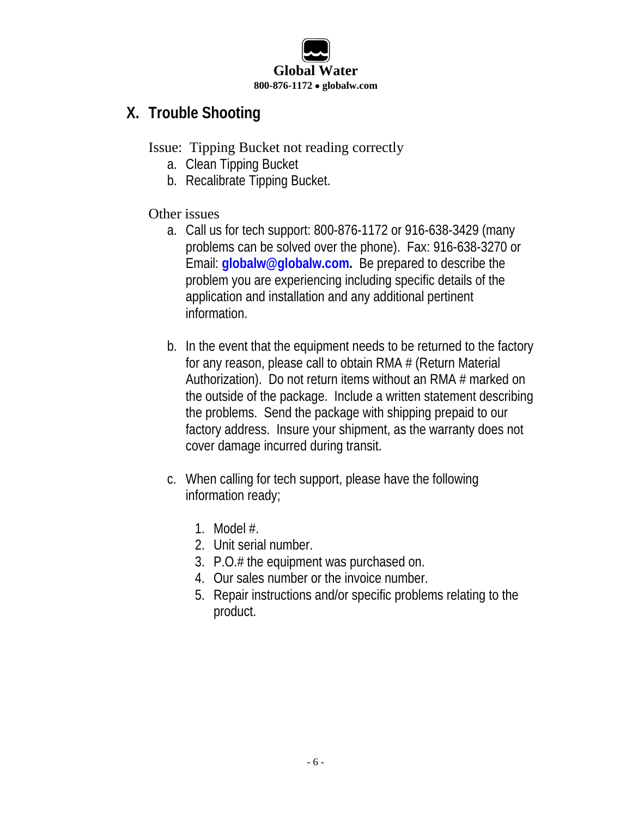

#### <span id="page-5-0"></span>**X. Trouble Shooting**

Issue: Tipping Bucket not reading correctly

- a. Clean Tipping Bucket
- b. Recalibrate Tipping Bucket.

#### Other issues

- a. Call us for tech support: 800-876-1172 or 916-638-3429 (many problems can be solved over the phone). Fax: 916-638-3270 or Email: **[globalw@globalw.com.](mailto:globalw@globalw.com)** Be prepared to describe the problem you are experiencing including specific details of the application and installation and any additional pertinent information.
- b. In the event that the equipment needs to be returned to the factory for any reason, please call to obtain RMA # (Return Material Authorization). Do not return items without an RMA # marked on the outside of the package. Include a written statement describing the problems. Send the package with shipping prepaid to our factory address. Insure your shipment, as the warranty does not cover damage incurred during transit.
- c. When calling for tech support, please have the following information ready;
	- 1. Model #.
	- 2. Unit serial number.
	- 3. P.O.# the equipment was purchased on.
	- 4. Our sales number or the invoice number.
	- 5. Repair instructions and/or specific problems relating to the product.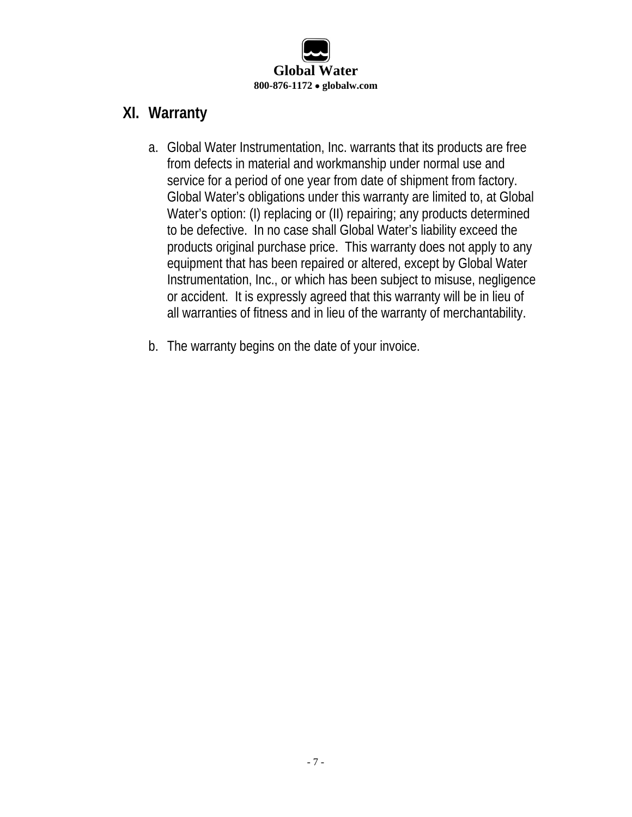

#### <span id="page-6-0"></span>**XI. Warranty**

- a. Global Water Instrumentation, Inc. warrants that its products are free from defects in material and workmanship under normal use and service for a period of one year from date of shipment from factory. Global Water's obligations under this warranty are limited to, at Global Water's option: (I) replacing or (II) repairing; any products determined to be defective. In no case shall Global Water's liability exceed the products original purchase price. This warranty does not apply to any equipment that has been repaired or altered, except by Global Water Instrumentation, Inc., or which has been subject to misuse, negligence or accident. It is expressly agreed that this warranty will be in lieu of all warranties of fitness and in lieu of the warranty of merchantability.
- b. The warranty begins on the date of your invoice.